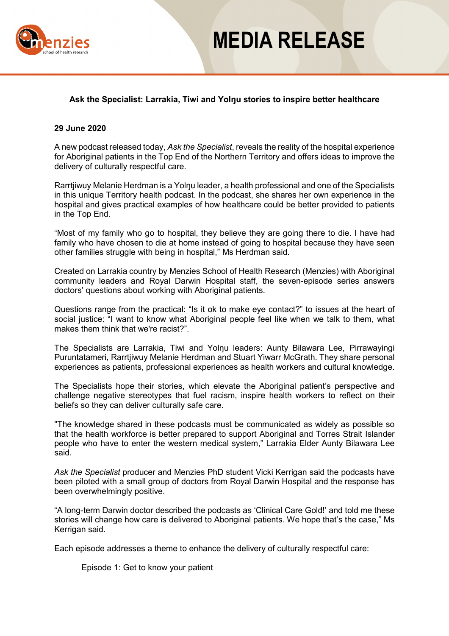

## **MEDIA RELEASE**

### **Ask the Specialist: Larrakia, Tiwi and Yolŋu stories to inspire better healthcare**

#### **29 June 2020**

A new podcast released today, *Ask the Specialist*, reveals the reality of the hospital experience for Aboriginal patients in the Top End of the Northern Territory and offers ideas to improve the delivery of culturally respectful care.

Rarrtjiwuy Melanie Herdman is a Yolnu leader, a health professional and one of the Specialists in this unique Territory health podcast. In the podcast, she shares her own experience in the hospital and gives practical examples of how healthcare could be better provided to patients in the Top End.

"Most of my family who go to hospital, they believe they are going there to die. I have had family who have chosen to die at home instead of going to hospital because they have seen other families struggle with being in hospital," Ms Herdman said.

Created on Larrakia country by Menzies School of Health Research (Menzies) with Aboriginal community leaders and Royal Darwin Hospital staff, the seven-episode series answers doctors' questions about working with Aboriginal patients.

Questions range from the practical: "Is it ok to make eye contact?" to issues at the heart of social justice: "I want to know what Aboriginal people feel like when we talk to them, what makes them think that we're racist?".

The Specialists are Larrakia, Tiwi and Yolŋu leaders: Aunty Bilawara Lee, Pirrawayingi Puruntatameri, Rarrtjiwuy Melanie Herdman and Stuart Yiwarr McGrath. They share personal experiences as patients, professional experiences as health workers and cultural knowledge.

The Specialists hope their stories, which elevate the Aboriginal patient's perspective and challenge negative stereotypes that fuel racism, inspire health workers to reflect on their beliefs so they can deliver culturally safe care.

"The knowledge shared in these podcasts must be communicated as widely as possible so that the health workforce is better prepared to support Aboriginal and Torres Strait Islander people who have to enter the western medical system," Larrakia Elder Aunty Bilawara Lee said.

*Ask the Specialist* producer and Menzies PhD student Vicki Kerrigan said the podcasts have been piloted with a small group of doctors from Royal Darwin Hospital and the response has been overwhelmingly positive.

"A long-term Darwin doctor described the podcasts as 'Clinical Care Gold!' and told me these stories will change how care is delivered to Aboriginal patients. We hope that's the case," Ms Kerrigan said.

Each episode addresses a theme to enhance the delivery of culturally respectful care:

Episode 1: Get to know your patient